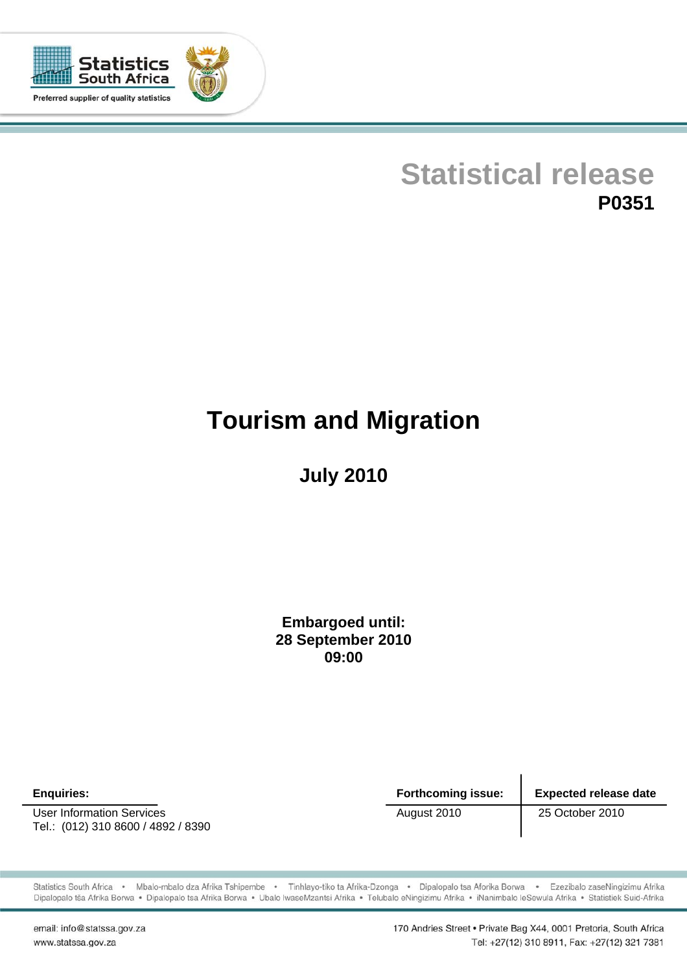

## **Statistical release P0351**

# **Tourism and Migration**

**July 2010**

**Embargoed until: 28 September 2010 09:00**

User Information Services **August 2010** 25 October 2010 Tel.: (012) 310 8600 / 4892 / 8390

**Enquiries: Forthcoming issue: Expected release date** 

Statistics South Africa · Mbalo-mbalo dza Afrika Tshipembe · Tinhlayo-tiko ta Afrika-Dzonga · Dipalopalo tsa Aforika Borwa · Ezezibalo zaseNingizimu Afrika Dipalopalo tša Afrika Borwa · Dipalopalo tsa Afrika Borwa · Ubalo lwaseMzantsi Afrika · Telubalo eNingizimu Afrika · iNanimbalo leSewula Afrika · Statistiek Suid-Afrika

email: info@statssa.gov.za www.statssa.gov.za

170 Andries Street · Private Bag X44, 0001 Pretoria, South Africa Tel: +27(12) 310 8911, Fax: +27(12) 321 7381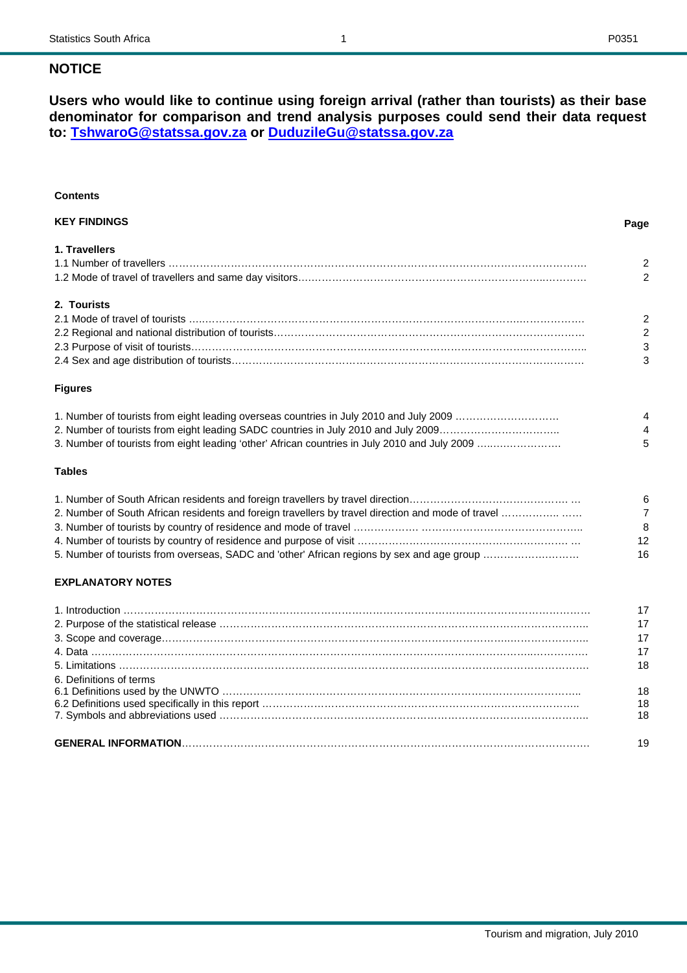**Users who would like to continue using foreign arrival (rather than tourists) as their base denominator for comparison and trend analysis purposes could send their data request to: [TshwaroG@statssa.gov.za](mailto:TshwaroG@statssa.gov.za) or [DuduzileGu@statssa.gov.za](mailto:DuduzileGu@statssa.gov.za)**

## **Contents**

| <b>KEY FINDINGS</b> | Page           |
|---------------------|----------------|
| 1. Travellers       |                |
|                     | 2              |
|                     | $\mathfrak{D}$ |
| 2. Tourists         |                |
|                     | 2              |
|                     | 2              |
|                     | 3              |
|                     | 3              |
| <b>Figures</b>      |                |

#### **Figures**

| 1. Number of tourists from eight leading overseas countries in July 2010 and July 2009 | 4                      |
|----------------------------------------------------------------------------------------|------------------------|
| 2. Number of tourists from eight leading SADC countries in July 2010 and July 2009     | $\boldsymbol{\Lambda}$ |
|                                                                                        | $\sqrt{5}$             |

#### **Tables**

|                                                                                            | 6             |
|--------------------------------------------------------------------------------------------|---------------|
|                                                                                            | $\mathcal{L}$ |
|                                                                                            | 8             |
|                                                                                            | 12            |
| 5. Number of tourists from overseas, SADC and 'other' African regions by sex and age group | 16            |

## **EXPLANATORY NOTES**

|                         | 18 |
|-------------------------|----|
| 6. Definitions of terms |    |
|                         | 18 |
|                         | 18 |
|                         | 18 |
|                         |    |
|                         | 19 |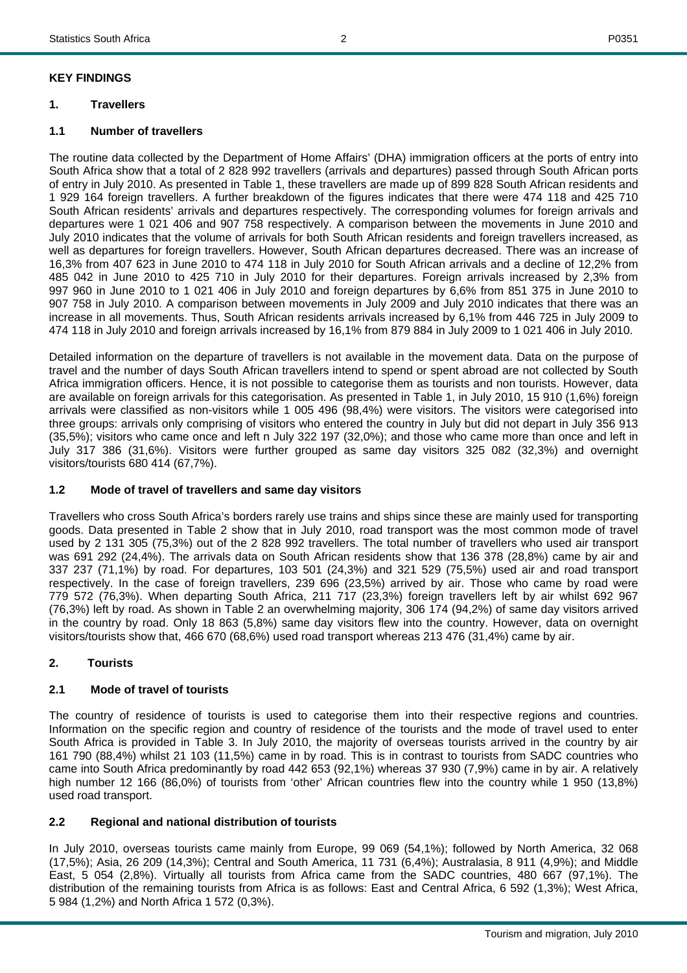## **KEY FINDINGS**

## **1. Travellers**

## **1.1 Number of travellers**

The routine data collected by the Department of Home Affairs' (DHA) immigration officers at the ports of entry into South Africa show that a total of 2 828 992 travellers (arrivals and departures) passed through South African ports of entry in July 2010. As presented in Table 1, these travellers are made up of 899 828 South African residents and 1 929 164 foreign travellers. A further breakdown of the figures indicates that there were 474 118 and 425 710 South African residents' arrivals and departures respectively. The corresponding volumes for foreign arrivals and departures were 1 021 406 and 907 758 respectively. A comparison between the movements in June 2010 and July 2010 indicates that the volume of arrivals for both South African residents and foreign travellers increased, as well as departures for foreign travellers. However, South African departures decreased. There was an increase of 16,3% from 407 623 in June 2010 to 474 118 in July 2010 for South African arrivals and a decline of 12,2% from 485 042 in June 2010 to 425 710 in July 2010 for their departures. Foreign arrivals increased by 2,3% from 997 960 in June 2010 to 1 021 406 in July 2010 and foreign departures by 6,6% from 851 375 in June 2010 to 907 758 in July 2010. A comparison between movements in July 2009 and July 2010 indicates that there was an increase in all movements. Thus, South African residents arrivals increased by 6,1% from 446 725 in July 2009 to 474 118 in July 2010 and foreign arrivals increased by 16,1% from 879 884 in July 2009 to 1 021 406 in July 2010.

Detailed information on the departure of travellers is not available in the movement data. Data on the purpose of travel and the number of days South African travellers intend to spend or spent abroad are not collected by South Africa immigration officers. Hence, it is not possible to categorise them as tourists and non tourists. However, data are available on foreign arrivals for this categorisation. As presented in Table 1, in July 2010, 15 910 (1,6%) foreign arrivals were classified as non-visitors while 1 005 496 (98,4%) were visitors. The visitors were categorised into three groups: arrivals only comprising of visitors who entered the country in July but did not depart in July 356 913 (35,5%); visitors who came once and left n July 322 197 (32,0%); and those who came more than once and left in July 317 386 (31,6%). Visitors were further grouped as same day visitors 325 082 (32,3%) and overnight visitors/tourists 680 414 (67,7%).

## **1.2 Mode of travel of travellers and same day visitors**

Travellers who cross South Africa's borders rarely use trains and ships since these are mainly used for transporting goods. Data presented in Table 2 show that in July 2010, road transport was the most common mode of travel used by 2 131 305 (75,3%) out of the 2 828 992 travellers. The total number of travellers who used air transport was 691 292 (24,4%). The arrivals data on South African residents show that 136 378 (28,8%) came by air and 337 237 (71,1%) by road. For departures, 103 501 (24,3%) and 321 529 (75,5%) used air and road transport respectively. In the case of foreign travellers, 239 696 (23,5%) arrived by air. Those who came by road were 779 572 (76,3%). When departing South Africa, 211 717 (23,3%) foreign travellers left by air whilst 692 967 (76,3%) left by road. As shown in Table 2 an overwhelming majority, 306 174 (94,2%) of same day visitors arrived in the country by road. Only 18 863 (5,8%) same day visitors flew into the country. However, data on overnight visitors/tourists show that, 466 670 (68,6%) used road transport whereas 213 476 (31,4%) came by air.

## **2. Tourists**

## **2.1 Mode of travel of tourists**

The country of residence of tourists is used to categorise them into their respective regions and countries. Information on the specific region and country of residence of the tourists and the mode of travel used to enter South Africa is provided in Table 3. In July 2010, the majority of overseas tourists arrived in the country by air 161 790 (88,4%) whilst 21 103 (11,5%) came in by road. This is in contrast to tourists from SADC countries who came into South Africa predominantly by road 442 653 (92,1%) whereas 37 930 (7,9%) came in by air. A relatively high number 12 166 (86,0%) of tourists from 'other' African countries flew into the country while 1 950 (13,8%) used road transport.

## **2.2 Regional and national distribution of tourists**

In July 2010, overseas tourists came mainly from Europe, 99 069 (54,1%); followed by North America, 32 068 (17,5%); Asia, 26 209 (14,3%); Central and South America, 11 731 (6,4%); Australasia, 8 911 (4,9%); and Middle East, 5 054 (2,8%). Virtually all tourists from Africa came from the SADC countries, 480 667 (97,1%). The distribution of the remaining tourists from Africa is as follows: East and Central Africa, 6 592 (1,3%); West Africa, 5 984 (1,2%) and North Africa 1 572 (0,3%).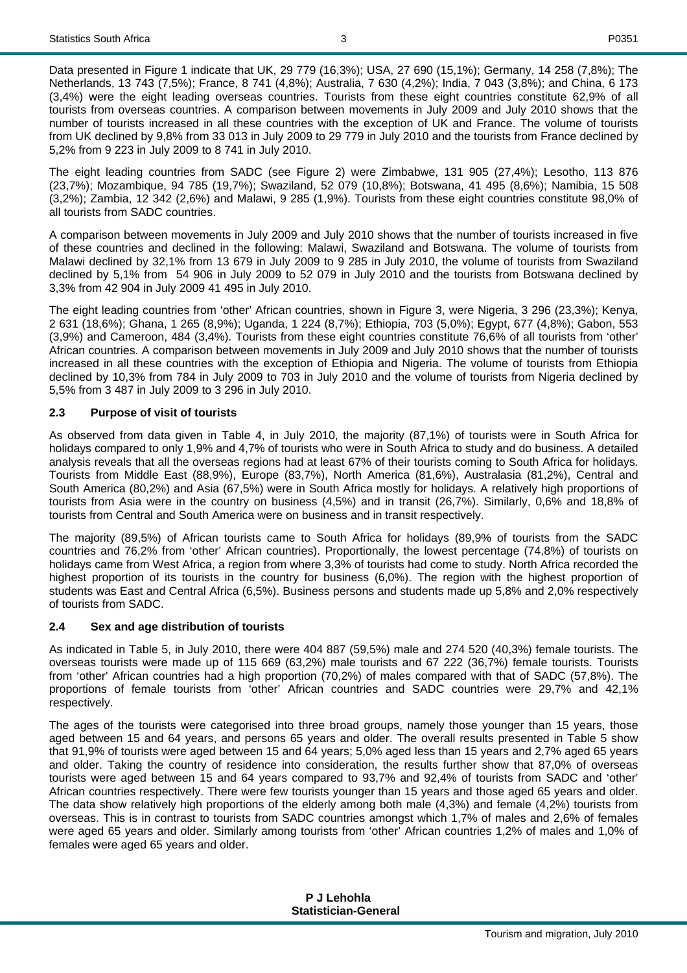Data presented in Figure 1 indicate that UK, 29 779 (16,3%); USA, 27 690 (15,1%); Germany, 14 258 (7,8%); The Netherlands, 13 743 (7,5%); France, 8 741 (4,8%); Australia, 7 630 (4,2%); India, 7 043 (3,8%); and China, 6 173 (3,4%) were the eight leading overseas countries. Tourists from these eight countries constitute 62,9% of all tourists from overseas countries. A comparison between movements in July 2009 and July 2010 shows that the number of tourists increased in all these countries with the exception of UK and France. The volume of tourists from UK declined by 9,8% from 33 013 in July 2009 to 29 779 in July 2010 and the tourists from France declined by 5,2% from 9 223 in July 2009 to 8 741 in July 2010.

The eight leading countries from SADC (see Figure 2) were Zimbabwe, 131 905 (27,4%); Lesotho, 113 876 (23,7%); Mozambique, 94 785 (19,7%); Swaziland, 52 079 (10,8%); Botswana, 41 495 (8,6%); Namibia, 15 508 (3,2%); Zambia, 12 342 (2,6%) and Malawi, 9 285 (1,9%). Tourists from these eight countries constitute 98,0% of all tourists from SADC countries.

A comparison between movements in July 2009 and July 2010 shows that the number of tourists increased in five of these countries and declined in the following: Malawi, Swaziland and Botswana. The volume of tourists from Malawi declined by 32,1% from 13 679 in July 2009 to 9 285 in July 2010, the volume of tourists from Swaziland declined by 5,1% from 54 906 in July 2009 to 52 079 in July 2010 and the tourists from Botswana declined by 3,3% from 42 904 in July 2009 41 495 in July 2010.

The eight leading countries from 'other' African countries, shown in Figure 3, were Nigeria, 3 296 (23,3%); Kenya, 2 631 (18,6%); Ghana, 1 265 (8,9%); Uganda, 1 224 (8,7%); Ethiopia, 703 (5,0%); Egypt, 677 (4,8%); Gabon, 553 (3,9%) and Cameroon, 484 (3,4%). Tourists from these eight countries constitute 76,6% of all tourists from 'other' African countries. A comparison between movements in July 2009 and July 2010 shows that the number of tourists increased in all these countries with the exception of Ethiopia and Nigeria. The volume of tourists from Ethiopia declined by 10,3% from 784 in July 2009 to 703 in July 2010 and the volume of tourists from Nigeria declined by 5,5% from 3 487 in July 2009 to 3 296 in July 2010.

## **2.3 Purpose of visit of tourists**

As observed from data given in Table 4, in July 2010, the majority (87,1%) of tourists were in South Africa for holidays compared to only 1,9% and 4,7% of tourists who were in South Africa to study and do business. A detailed analysis reveals that all the overseas regions had at least 67% of their tourists coming to South Africa for holidays. Tourists from Middle East (88,9%), Europe (83,7%), North America (81,6%), Australasia (81,2%), Central and South America (80,2%) and Asia (67,5%) were in South Africa mostly for holidays. A relatively high proportions of tourists from Asia were in the country on business (4,5%) and in transit (26,7%). Similarly, 0,6% and 18,8% of tourists from Central and South America were on business and in transit respectively.

The majority (89,5%) of African tourists came to South Africa for holidays (89,9% of tourists from the SADC countries and 76,2% from 'other' African countries). Proportionally, the lowest percentage (74,8%) of tourists on holidays came from West Africa, a region from where 3,3% of tourists had come to study. North Africa recorded the highest proportion of its tourists in the country for business (6,0%). The region with the highest proportion of students was East and Central Africa (6,5%). Business persons and students made up 5,8% and 2,0% respectively of tourists from SADC.

## **2.4 Sex and age distribution of tourists**

As indicated in Table 5, in July 2010, there were 404 887 (59,5%) male and 274 520 (40,3%) female tourists. The overseas tourists were made up of 115 669 (63,2%) male tourists and 67 222 (36,7%) female tourists. Tourists from 'other' African countries had a high proportion (70,2%) of males compared with that of SADC (57,8%). The proportions of female tourists from 'other' African countries and SADC countries were 29,7% and 42,1% respectively.

The ages of the tourists were categorised into three broad groups, namely those younger than 15 years, those aged between 15 and 64 years, and persons 65 years and older. The overall results presented in Table 5 show that 91,9% of tourists were aged between 15 and 64 years; 5,0% aged less than 15 years and 2,7% aged 65 years and older. Taking the country of residence into consideration, the results further show that 87,0% of overseas tourists were aged between 15 and 64 years compared to 93,7% and 92,4% of tourists from SADC and 'other' African countries respectively. There were few tourists younger than 15 years and those aged 65 years and older. The data show relatively high proportions of the elderly among both male (4,3%) and female (4,2%) tourists from overseas. This is in contrast to tourists from SADC countries amongst which 1,7% of males and 2,6% of females were aged 65 years and older. Similarly among tourists from 'other' African countries 1,2% of males and 1,0% of females were aged 65 years and older.

> **P J Lehohla Statistician-General**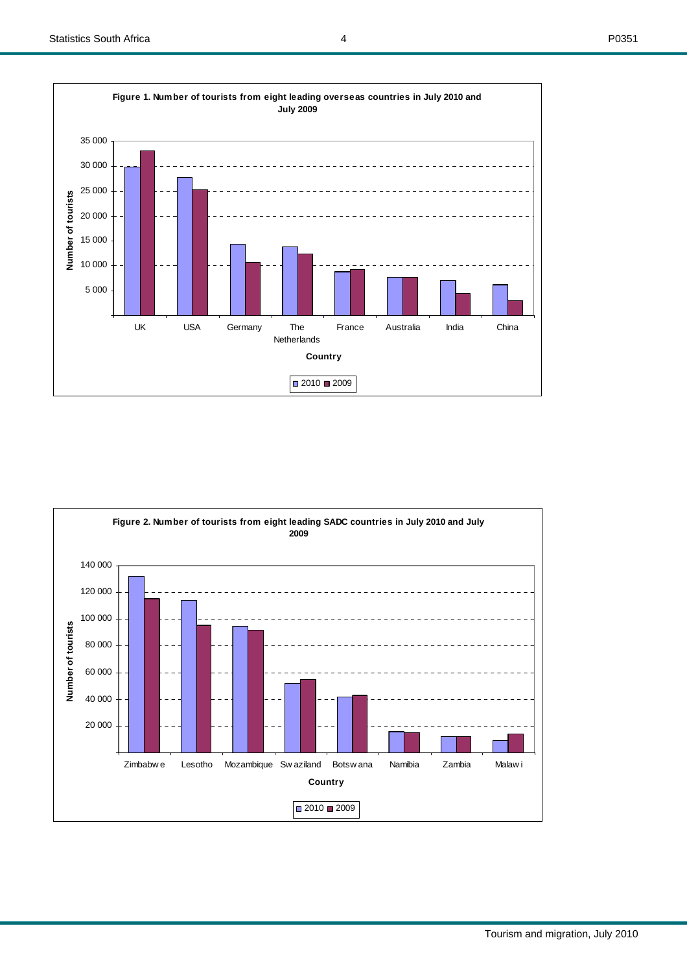20 000

40 000

60 000

**Number of tourists**

Number of tourists

80 000

100 000

120 000

140 000





**Figure 2. Number of tourists from eight leading SADC countries in July 2010 and July 2009**

Zimbabw e Lesotho Mozambique Sw aziland Botsw ana Namibia Zambia Malaw i **Country**

 $\boxed{0.2010 \, 2009}$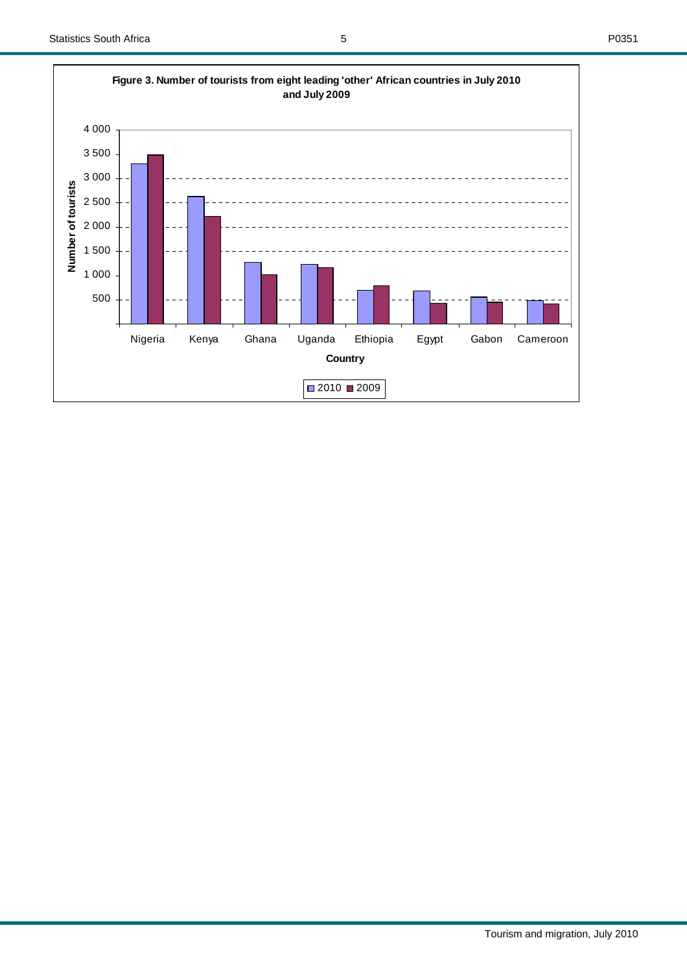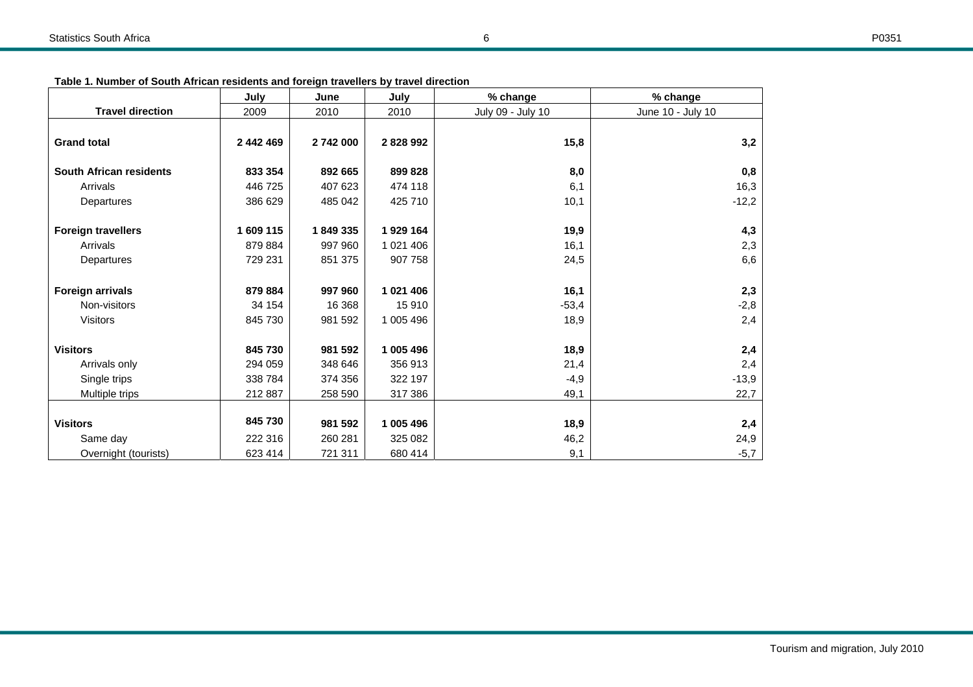| Table 1. Number of South African residents and foreign travellers by travel direction |  |
|---------------------------------------------------------------------------------------|--|
|---------------------------------------------------------------------------------------|--|

|                                | July      | June    | July         | % change          | % change          |
|--------------------------------|-----------|---------|--------------|-------------------|-------------------|
| <b>Travel direction</b>        | 2009      | 2010    | 2010         | July 09 - July 10 | June 10 - July 10 |
|                                |           |         |              |                   |                   |
| <b>Grand total</b>             | 2 442 469 | 2742000 | 2828992      | 15,8              | 3,2               |
| <b>South African residents</b> | 833 354   | 892 665 | 899 828      | 8,0               | 0,8               |
| Arrivals                       | 446 725   | 407 623 | 474 118      | 6,1               | 16,3              |
| Departures                     | 386 629   | 485 042 | 425 710      | 10,1              | $-12,2$           |
|                                |           |         |              |                   |                   |
| <b>Foreign travellers</b>      | 1 609 115 | 1849335 | 1929 164     | 19,9              | 4,3               |
| Arrivals                       | 879 884   | 997 960 | 1 0 21 4 0 6 | 16,1              | 2,3               |
| Departures                     | 729 231   | 851 375 | 907 758      | 24,5              | 6,6               |
|                                |           |         |              |                   |                   |
| <b>Foreign arrivals</b>        | 879 884   | 997 960 | 1 021 406    | 16,1              | 2,3               |
| Non-visitors                   | 34 154    | 16 3 68 | 15910        | $-53,4$           | $-2,8$            |
| <b>Visitors</b>                | 845 730   | 981 592 | 1 005 496    | 18,9              | 2,4               |
| <b>Visitors</b>                | 845 730   | 981 592 | 1 005 496    |                   |                   |
|                                |           |         |              | 18,9              | 2,4               |
| Arrivals only                  | 294 059   | 348 646 | 356 913      | 21,4              | 2,4               |
| Single trips                   | 338 784   | 374 356 | 322 197      | $-4,9$            | $-13,9$           |
| Multiple trips                 | 212 887   | 258 590 | 317 386      | 49,1              | 22,7              |
|                                |           |         |              |                   |                   |
| <b>Visitors</b>                | 845 730   | 981 592 | 1 005 496    | 18,9              | 2,4               |
| Same day                       | 222 316   | 260 281 | 325 082      | 46,2              | 24,9              |
| Overnight (tourists)           | 623 414   | 721 311 | 680 414      | 9,1               | $-5,7$            |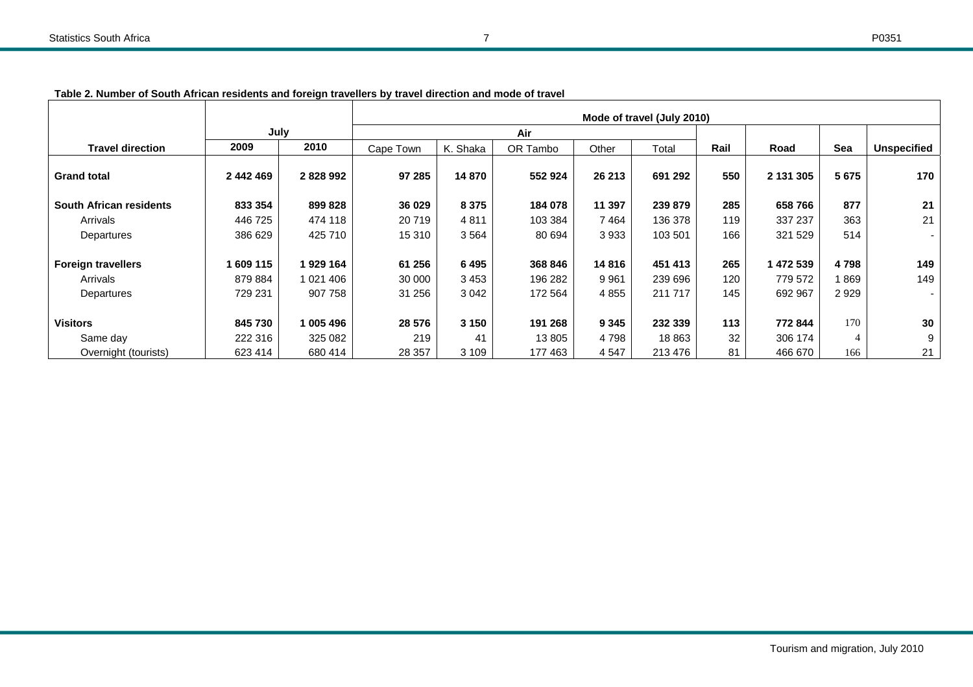|                           |           |           | Mode of travel (July 2010) |          |          |         |         |      |           |                |             |
|---------------------------|-----------|-----------|----------------------------|----------|----------|---------|---------|------|-----------|----------------|-------------|
|                           | July      |           |                            |          | Air      |         |         |      |           |                |             |
| <b>Travel direction</b>   | 2009      | 2010      | Cape Town                  | K. Shaka | OR Tambo | Other   | Total   | Rail | Road      | Sea            | Unspecified |
| <b>Grand total</b>        | 2 442 469 | 2828992   | 97 285                     | 14 870   | 552 924  | 26 213  | 691 292 | 550  | 2 131 305 | 5 6 7 5        | 170         |
| South African residents   | 833 354   | 899 828   | 36 0 29                    | 8 3 7 5  | 184 078  | 11 397  | 239 879 | 285  | 658766    | 877            | 21          |
| Arrivals                  | 446 725   | 474 118   | 20719                      | 4811     | 103 384  | 7464    | 136 378 | 119  | 337 237   | 363            | 21          |
| Departures                | 386 629   | 425 710   | 15 310                     | 3564     | 80 694   | 3933    | 103 501 | 166  | 321 529   | 514            |             |
|                           |           |           |                            |          |          |         |         |      |           |                |             |
| <b>Foreign travellers</b> | 1 609 115 | 1 929 164 | 61 256                     | 6495     | 368 846  | 14816   | 451 413 | 265  | 1 472 539 | 4798           | 149         |
| Arrivals                  | 879 884   | 1 021 406 | 30 000                     | 3453     | 196 282  | 9961    | 239 696 | 120  | 779 572   | l 869          | 149         |
| Departures                | 729 231   | 907 758   | 31 256                     | 3 0 4 2  | 172 564  | 4 8 5 5 | 211 717 | 145  | 692 967   | 2929           |             |
|                           |           |           |                            |          |          |         |         |      |           |                |             |
| <b>Visitors</b>           | 845 730   | 005 496   | 28 576                     | 3 1 5 0  | 191 268  | 9 3 4 5 | 232 339 | 113  | 772 844   | 170            | 30          |
| Same day                  | 222 316   | 325 082   | 219                        | 41       | 13 805   | 4 7 9 8 | 18 863  | 32   | 306 174   | $\overline{4}$ | 9           |
| Overnight (tourists)      | 623 414   | 680 414   | 28 357                     | 3 1 0 9  | 177 463  | 4 5 4 7 | 213 476 | 81   | 466 670   | 166            | 21          |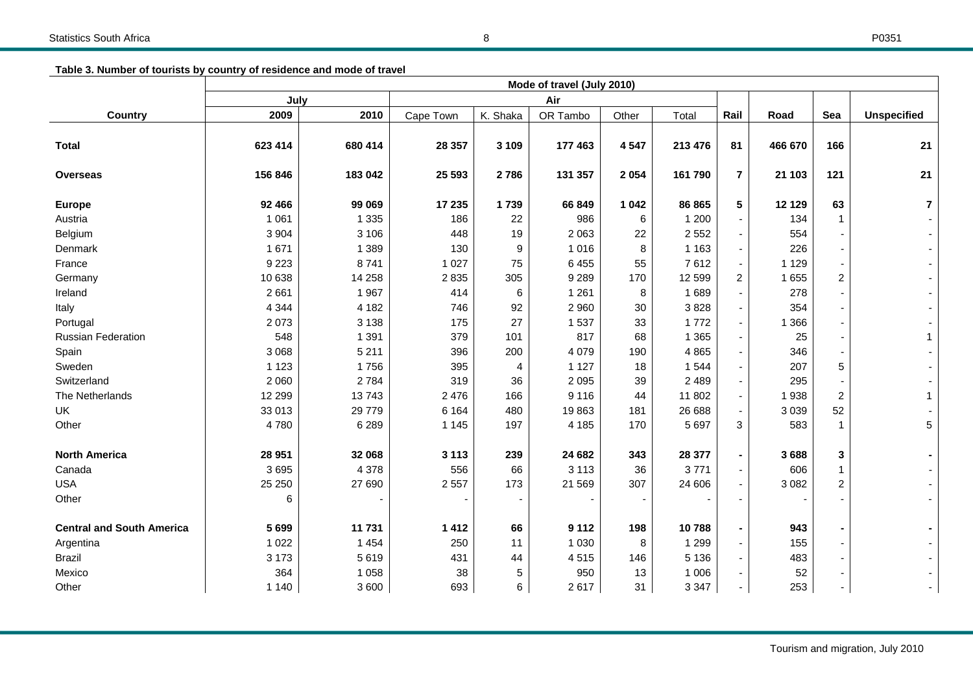**Table 3. Number of tourists by country of residence and mode of travel** 

|                                  | Mode of travel (July 2010) |         |           |                |          |         |         |                          |         |                |                         |
|----------------------------------|----------------------------|---------|-----------|----------------|----------|---------|---------|--------------------------|---------|----------------|-------------------------|
|                                  | July<br>Air                |         |           |                |          |         |         |                          |         |                |                         |
| <b>Country</b>                   | 2009                       | 2010    | Cape Town | K. Shaka       | OR Tambo | Other   | Total   | Rail                     | Road    | Sea            | <b>Unspecified</b>      |
| <b>Total</b>                     | 623 414                    | 680 414 | 28 357    | 3 1 0 9        | 177 463  | 4547    | 213 476 | 81                       | 466 670 | 166            | 21                      |
| <b>Overseas</b>                  | 156 846                    | 183 042 | 25 593    | 2786           | 131 357  | 2 0 5 4 | 161 790 | $\mathbf{7}$             | 21 103  | 121            | 21                      |
| <b>Europe</b>                    | 92 466                     | 99 069  | 17 235    | 1739           | 66 849   | 1 0 4 2 | 86 865  | 5                        | 12 1 29 | 63             | $\overline{\mathbf{r}}$ |
| Austria                          | 1 0 6 1                    | 1 3 3 5 | 186       | 22             | 986      | 6       | 1 200   |                          | 134     | $\mathbf 1$    |                         |
| Belgium                          | 3 9 0 4                    | 3 1 0 6 | 448       | 19             | 2 0 6 3  | 22      | 2 5 5 2 |                          | 554     |                |                         |
| Denmark                          | 1671                       | 1 3 8 9 | 130       | 9              | 1 0 1 6  | 8       | 1 1 6 3 | ٠                        | 226     |                |                         |
| France                           | 9 2 2 3                    | 8741    | 1 0 2 7   | 75             | 6 4 5 5  | 55      | 7612    | $\blacksquare$           | 1 1 2 9 |                |                         |
| Germany                          | 10 638                     | 14 258  | 2835      | 305            | 9 2 8 9  | 170     | 12 599  | $\overline{2}$           | 1 6 5 5 | $\overline{2}$ |                         |
| Ireland                          | 2661                       | 1967    | 414       | 6              | 1 2 6 1  | 8       | 1689    |                          | 278     |                |                         |
| Italy                            | 4 3 4 4                    | 4 1 8 2 | 746       | 92             | 2 9 6 0  | 30      | 3828    |                          | 354     |                |                         |
| Portugal                         | 2073                       | 3 1 3 8 | 175       | 27             | 1537     | 33      | 1772    |                          | 1 3 6 6 |                |                         |
| <b>Russian Federation</b>        | 548                        | 1 3 9 1 | 379       | 101            | 817      | 68      | 1 3 6 5 |                          | 25      |                |                         |
| Spain                            | 3 0 6 8                    | 5 2 1 1 | 396       | 200            | 4 0 7 9  | 190     | 4 8 6 5 |                          | 346     |                |                         |
| Sweden                           | 1 1 2 3                    | 1756    | 395       | $\overline{4}$ | 1 1 2 7  | 18      | 1 5 4 4 |                          | 207     | 5              |                         |
| Switzerland                      | 2 0 6 0                    | 2 7 8 4 | 319       | 36             | 2 0 9 5  | 39      | 2 4 8 9 |                          | 295     |                |                         |
| The Netherlands                  | 12 299                     | 13743   | 2 4 7 6   | 166            | 9 1 1 6  | 44      | 11 802  | $\overline{\phantom{a}}$ | 1938    | $\overline{2}$ |                         |
| UK                               | 33 013                     | 29 779  | 6 1 6 4   | 480            | 19863    | 181     | 26 688  |                          | 3 0 3 9 | 52             |                         |
| Other                            | 4780                       | 6 2 8 9 | 1 1 4 5   | 197            | 4 1 8 5  | 170     | 5 6 9 7 | 3                        | 583     | $\mathbf 1$    | 5                       |
| <b>North America</b>             | 28 951                     | 32 068  | 3 1 1 3   | 239            | 24 682   | 343     | 28 377  | $\blacksquare$           | 3688    | 3              |                         |
| Canada                           | 3695                       | 4 3 7 8 | 556       | 66             | 3 1 1 3  | 36      | 3771    |                          | 606     | $\overline{1}$ |                         |
| <b>USA</b>                       | 25 250                     | 27 690  | 2 5 5 7   | 173            | 21 5 69  | 307     | 24 606  |                          | 3 0 8 2 | $\overline{2}$ |                         |
| Other                            | 6                          |         |           |                |          |         |         |                          |         |                |                         |
| <b>Central and South America</b> | 5699                       | 11 731  | 1412      | 66             | 9 1 1 2  | 198     | 10788   |                          | 943     |                |                         |
| Argentina                        | 1 0 2 2                    | 1 4 5 4 | 250       | 11             | 1 0 3 0  | 8       | 1 2 9 9 |                          | 155     |                |                         |
| <b>Brazil</b>                    | 3 1 7 3                    | 5619    | 431       | 44             | 4515     | 146     | 5 1 3 6 |                          | 483     |                |                         |
| Mexico                           | 364                        | 1 0 5 8 | 38        | 5              | 950      | 13      | 1 0 0 6 |                          | 52      |                |                         |
| Other                            | 1 1 4 0                    | 3600    | 693       | 6              | 2617     | 31      | 3 3 4 7 | $\overline{\phantom{a}}$ | 253     |                |                         |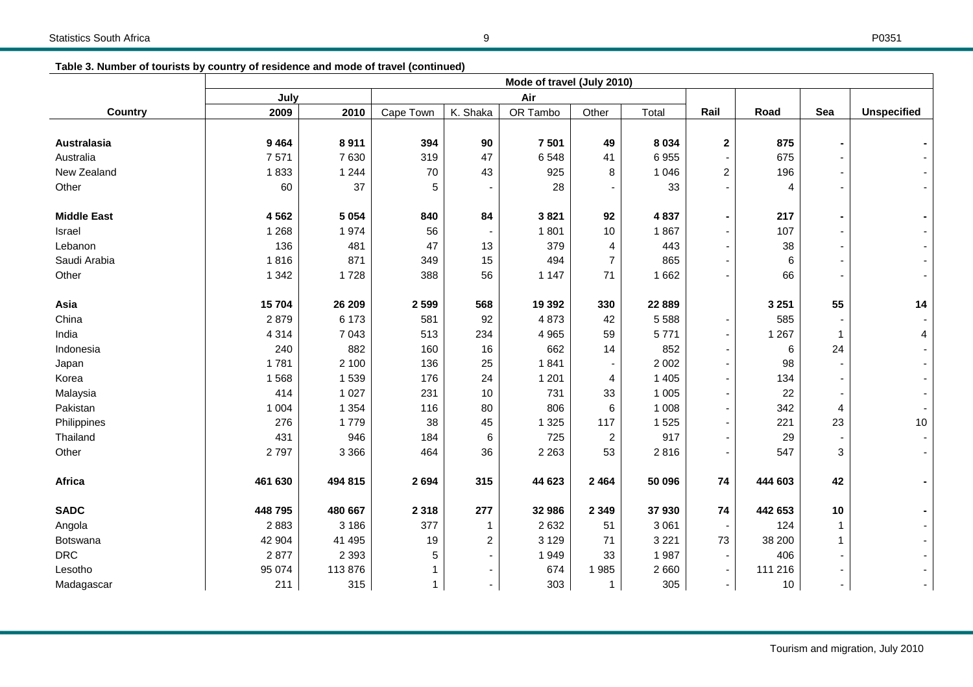| Table 3. Number of tourists by country of residence and mode of travel (continued) |  |
|------------------------------------------------------------------------------------|--|
|                                                                                    |  |

|                    | Mode of travel (July 2010) |         |              |                |          |                |         |                |         |                |                    |
|--------------------|----------------------------|---------|--------------|----------------|----------|----------------|---------|----------------|---------|----------------|--------------------|
|                    | July                       |         |              | Air            |          |                |         |                |         |                |                    |
| <b>Country</b>     | 2009                       | 2010    | Cape Town    | K. Shaka       | OR Tambo | Other          | Total   | Rail           | Road    | Sea            | <b>Unspecified</b> |
|                    |                            |         |              |                |          |                |         |                |         |                |                    |
| Australasia        | 9 4 6 4                    | 8911    | 394          | 90             | 7 5 0 1  | 49             | 8 0 3 4 | $\mathbf 2$    | 875     |                |                    |
| Australia          | 7571                       | 7630    | 319          | 47             | 6548     | 41             | 6955    |                | 675     |                |                    |
| New Zealand        | 1833                       | 1 2 4 4 | 70           | 43             | 925      | 8              | 1 0 4 6 | $\overline{c}$ | 196     |                |                    |
| Other              | 60                         | 37      | 5            |                | 28       |                | 33      |                | 4       |                |                    |
| <b>Middle East</b> | 4562                       | 5 0 5 4 | 840          | 84             | 3821     | 92             | 4 8 3 7 |                | 217     |                |                    |
| Israel             | 1 2 6 8                    | 1974    | 56           | $\blacksquare$ | 1801     | 10             | 1867    |                | 107     |                |                    |
| Lebanon            | 136                        | 481     | 47           | 13             | 379      | 4              | 443     |                | 38      |                |                    |
| Saudi Arabia       | 1816                       | 871     | 349          | 15             | 494      | $\overline{7}$ | 865     |                | 6       |                |                    |
| Other              | 1 3 4 2                    | 1728    | 388          | 56             | 1 1 4 7  | 71             | 1 6 6 2 |                | 66      |                |                    |
| Asia               | 15704                      | 26 209  | 2 5 9 9      | 568            | 19 3 9 2 | 330            | 22 889  |                | 3 2 5 1 | 55             | 14                 |
| China              | 2879                       | 6 173   | 581          | 92             | 4 8 7 3  | 42             | 5 5 8 8 | ٠              | 585     |                |                    |
| India              | 4 3 1 4                    | 7 0 4 3 | 513          | 234            | 4 9 6 5  | 59             | 5771    |                | 1 2 6 7 | $\mathbf 1$    | 4                  |
| Indonesia          | 240                        | 882     | 160          | 16             | 662      | 14             | 852     |                | 6       | 24             |                    |
| Japan              | 1781                       | 2 100   | 136          | 25             | 1841     |                | 2 0 0 2 |                | 98      |                |                    |
| Korea              | 1568                       | 1 5 3 9 | 176          | 24             | 1 2 0 1  | 4              | 1 4 0 5 |                | 134     |                |                    |
| Malaysia           | 414                        | 1 0 2 7 | 231          | 10             | 731      | 33             | 1 0 0 5 |                | 22      |                |                    |
| Pakistan           | 1 0 0 4                    | 1 3 5 4 | 116          | 80             | 806      | 6              | 1 0 0 8 |                | 342     | $\overline{4}$ |                    |
| Philippines        | 276                        | 1779    | 38           | 45             | 1 3 2 5  | 117            | 1525    |                | 221     | 23             | 10                 |
| Thailand           | 431                        | 946     | 184          | 6              | 725      | $\overline{c}$ | 917     |                | 29      |                |                    |
| Other              | 2797                       | 3 3 6 6 | 464          | 36             | 2 2 6 3  | 53             | 2816    |                | 547     | 3              |                    |
| Africa             | 461 630                    | 494 815 | 2 6 9 4      | 315            | 44 623   | 2 4 6 4        | 50 096  | 74             | 444 603 | 42             |                    |
| <b>SADC</b>        | 448 795                    | 480 667 | 2 3 1 8      | 277            | 32 986   | 2 3 4 9        | 37930   | 74             | 442 653 | 10             |                    |
| Angola             | 2883                       | 3 186   | 377          | $\mathbf{1}$   | 2632     | 51             | 3 0 6 1 |                | 124     | 1              |                    |
| Botswana           | 42 904                     | 41 495  | 19           | $\overline{c}$ | 3 1 2 9  | 71             | 3 2 2 1 | 73             | 38 200  | 1              |                    |
| <b>DRC</b>         | 2877                       | 2 3 9 3 | 5            |                | 1949     | 33             | 1987    |                | 406     |                |                    |
| Lesotho            | 95 074                     | 113876  |              | $\blacksquare$ | 674      | 1985           | 2660    |                | 111 216 |                |                    |
| Madagascar         | 211                        | 315     | $\mathbf{1}$ | $\sim$         | 303      | $\mathbf{1}$   | 305     | ٠              | 10      | $\blacksquare$ |                    |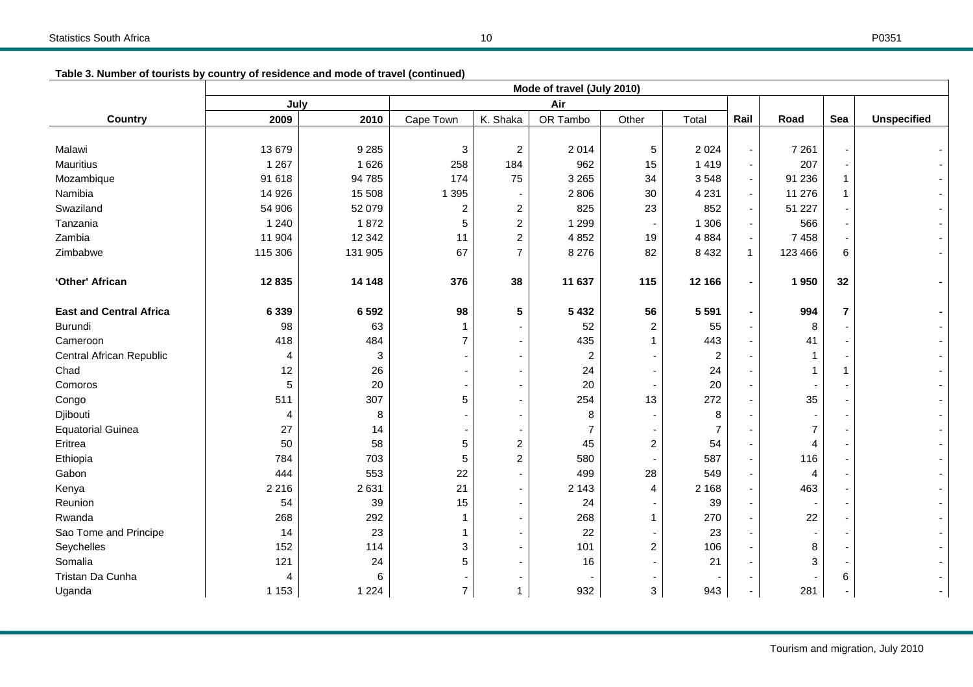|  |  | Table 3. Number of tourists by country of residence and mode of travel (continued) |  |  |
|--|--|------------------------------------------------------------------------------------|--|--|
|  |  |                                                                                    |  |  |

|                                | Mode of travel (July 2010) |         |                |                |                |                          |                |                          |                |                          |                    |
|--------------------------------|----------------------------|---------|----------------|----------------|----------------|--------------------------|----------------|--------------------------|----------------|--------------------------|--------------------|
|                                | Air<br>July                |         |                |                |                |                          |                |                          |                |                          |                    |
| <b>Country</b>                 | 2009                       | 2010    | Cape Town      | K. Shaka       | OR Tambo       | Other                    | Total          | Rail                     | Road           | Sea                      | <b>Unspecified</b> |
|                                |                            |         |                |                |                |                          |                |                          |                |                          |                    |
| Malawi                         | 13 679                     | 9 2 8 5 | $\sqrt{3}$     | $\overline{c}$ | 2014           | 5                        | 2 0 2 4        | $\overline{\phantom{a}}$ | 7 2 6 1        | $\blacksquare$           |                    |
| <b>Mauritius</b>               | 1 2 6 7                    | 1 6 2 6 | 258            | 184            | 962            | 15                       | 1419           | $\sim$                   | 207            | $\sim$                   |                    |
| Mozambique                     | 91 618                     | 94 785  | 174            | 75             | 3 2 6 5        | 34                       | 3548           | $\blacksquare$           | 91 236         | $\mathbf{1}$             |                    |
| Namibia                        | 14 9 26                    | 15 508  | 1 3 9 5        |                | 2 8 0 6        | 30                       | 4 2 3 1        | $\blacksquare$           | 11 276         | 1                        |                    |
| Swaziland                      | 54 906                     | 52 079  | $\overline{c}$ | $\overline{c}$ | 825            | 23                       | 852            | $\sim$                   | 51 227         |                          |                    |
| Tanzania                       | 1 2 4 0                    | 1872    | 5              | $\overline{c}$ | 1 2 9 9        | $\overline{\phantom{a}}$ | 1 3 0 6        | $\blacksquare$           | 566            |                          |                    |
| Zambia                         | 11 904                     | 12 3 42 | 11             | $\overline{c}$ | 4 8 5 2        | 19                       | 4 8 8 4        | $\overline{\phantom{a}}$ | 7 4 5 8        |                          |                    |
| Zimbabwe                       | 115 306                    | 131 905 | 67             | $\overline{7}$ | 8 2 7 6        | 82                       | 8 4 3 2        | $\mathbf{1}$             | 123 466        | 6                        |                    |
|                                |                            |         |                |                |                |                          |                |                          |                |                          |                    |
| 'Other' African                | 12835                      | 14 148  | 376            | 38             | 11 637         | 115                      | 12 166         | $\blacksquare$           | 1950           | 32                       |                    |
|                                |                            |         |                |                |                |                          |                |                          |                |                          |                    |
| <b>East and Central Africa</b> | 6 3 3 9                    | 6592    | 98             | 5              | 5 4 3 2        | 56                       | 5 5 9 1        | $\blacksquare$           | 994            | $\overline{7}$           |                    |
| Burundi                        | 98                         | 63      | -1             |                | 52             | $\overline{c}$           | 55             |                          | 8              |                          |                    |
| Cameroon                       | 418                        | 484     | $\overline{7}$ |                | 435            | 1                        | 443            | $\overline{\phantom{a}}$ | 41             |                          |                    |
| Central African Republic       | 4                          | 3       |                |                | $\overline{c}$ | $\overline{\phantom{a}}$ | 2              |                          |                |                          |                    |
| Chad                           | 12                         | 26      |                |                | 24             | $\blacksquare$           | 24             |                          |                | 1                        |                    |
| Comoros                        | 5                          | 20      |                |                | 20             | $\blacksquare$           | 20             | $\overline{\phantom{a}}$ |                |                          |                    |
| Congo                          | 511                        | 307     | 5              |                | 254            | 13                       | 272            | $\overline{\phantom{a}}$ | 35             |                          |                    |
| Djibouti                       | 4                          | 8       |                |                | 8              | $\overline{\phantom{a}}$ | 8              |                          |                |                          |                    |
| <b>Equatorial Guinea</b>       | 27                         | 14      |                |                | 7              |                          | $\overline{7}$ |                          | $\overline{7}$ |                          |                    |
| Eritrea                        | 50                         | 58      | 5              | $\overline{c}$ | 45             | $\overline{c}$           | 54             |                          | 4              |                          |                    |
| Ethiopia                       | 784                        | 703     | 5              | $\overline{2}$ | 580            | $\overline{\phantom{a}}$ | 587            | $\overline{\phantom{a}}$ | 116            |                          |                    |
| Gabon                          | 444                        | 553     | 22             |                | 499            | 28                       | 549            | $\overline{\phantom{a}}$ | $\overline{4}$ |                          |                    |
| Kenya                          | 2 2 1 6                    | 2631    | 21             |                | 2 1 4 3        | 4                        | 2 1 6 8        | $\overline{\phantom{a}}$ | 463            |                          |                    |
| Reunion                        | 54                         | 39      | 15             |                | 24             | $\overline{\phantom{a}}$ | 39             | $\overline{\phantom{a}}$ |                |                          |                    |
| Rwanda                         | 268                        | 292     | 1              |                | 268            | 1                        | 270            | $\overline{\phantom{a}}$ | 22             |                          |                    |
| Sao Tome and Principe          | 14                         | 23      |                |                | 22             |                          | 23             | $\overline{\phantom{a}}$ |                |                          |                    |
| Seychelles                     | 152                        | 114     | 3              |                | 101            | $\overline{c}$           | 106            | $\overline{\phantom{a}}$ | 8              |                          |                    |
| Somalia                        | 121                        | 24      | 5              |                | 16             | $\overline{\phantom{a}}$ | 21             | $\overline{\phantom{a}}$ | 3              | $\overline{\phantom{a}}$ |                    |
| Tristan Da Cunha               | 4                          | 6       |                |                |                | $\overline{\phantom{a}}$ |                |                          |                | 6                        |                    |
| Uganda                         | 1 1 5 3                    | 1 2 2 4 | $\overline{7}$ | 1              | 932            | 3                        | 943            | $\overline{\phantom{a}}$ | 281            |                          |                    |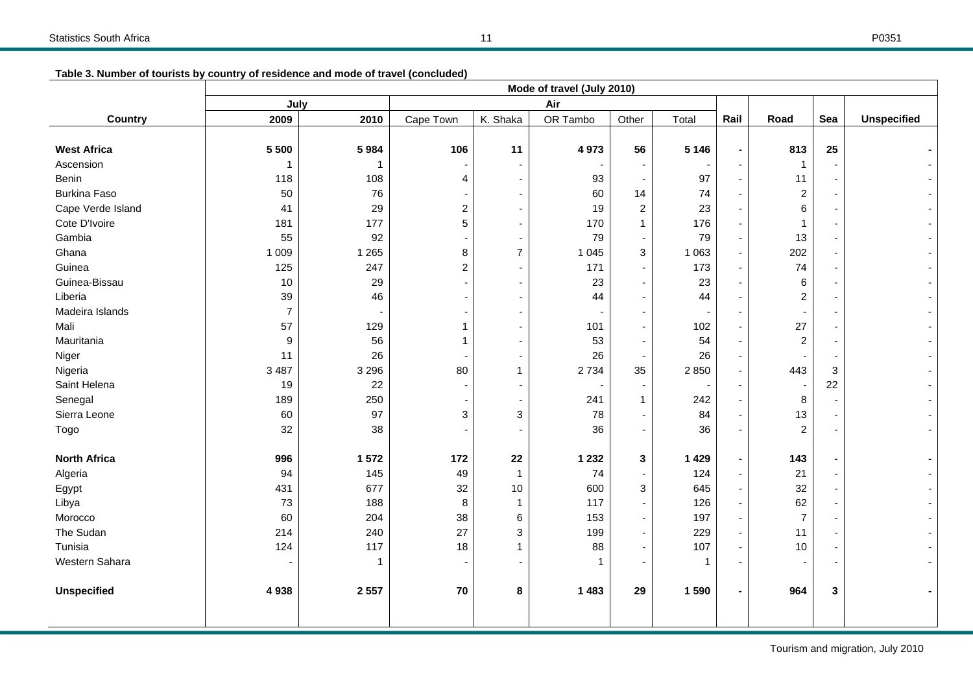| Table 3. Number of tourists by country of residence and mode of travel (concluded) |  |
|------------------------------------------------------------------------------------|--|
|                                                                                    |  |

|                     | Mode of travel (July 2010) |         |                |                |                          |                          |         |      |                         |              |                    |
|---------------------|----------------------------|---------|----------------|----------------|--------------------------|--------------------------|---------|------|-------------------------|--------------|--------------------|
|                     | July                       |         |                |                | Air                      |                          |         |      |                         |              |                    |
| Country             | 2009                       | 2010    | Cape Town      | K. Shaka       | OR Tambo                 | Other                    | Total   | Rail | Road                    | Sea          | <b>Unspecified</b> |
|                     |                            |         |                |                |                          |                          |         |      |                         |              |                    |
| <b>West Africa</b>  | 5 500                      | 5984    | 106            | 11             | 4973                     | 56                       | 5 1 4 6 |      | 813                     | 25           |                    |
| Ascension           | 1                          | 1       |                |                |                          | $\overline{\phantom{a}}$ |         |      | $\mathbf{1}$            |              |                    |
| Benin               | 118                        | 108     | 4              |                | 93                       | $\overline{\phantom{a}}$ | 97      |      | 11                      |              |                    |
| <b>Burkina Faso</b> | 50                         | 76      |                |                | 60                       | 14                       | 74      |      | $\overline{\mathbf{c}}$ |              |                    |
| Cape Verde Island   | 41                         | 29      | $\overline{c}$ |                | 19                       | $\overline{c}$           | 23      |      | 6                       |              |                    |
| Cote D'Ivoire       | 181                        | 177     | 5              |                | 170                      | $\mathbf{1}$             | 176     |      | 1                       |              |                    |
| Gambia              | 55                         | 92      |                |                | 79                       | $\overline{\phantom{a}}$ | 79      |      | 13                      |              |                    |
| Ghana               | 1 0 0 9                    | 1 2 6 5 | 8              | $\overline{7}$ | 1 0 4 5                  | 3                        | 1 0 6 3 |      | 202                     |              |                    |
| Guinea              | 125                        | 247     | $\overline{c}$ |                | 171                      | $\blacksquare$           | 173     |      | 74                      |              |                    |
| Guinea-Bissau       | 10                         | 29      |                |                | 23                       | $\blacksquare$           | 23      |      | 6                       |              |                    |
| Liberia             | 39                         | 46      |                |                | 44                       | $\blacksquare$           | 44      |      | $\overline{c}$          |              |                    |
| Madeira Islands     | $\overline{7}$             |         |                |                |                          | $\blacksquare$           |         |      |                         |              |                    |
| Mali                | 57                         | 129     | 1              |                | 101                      | $\blacksquare$           | 102     |      | 27                      |              |                    |
| Mauritania          | 9                          | 56      | 1              |                | 53                       | $\blacksquare$           | 54      |      | $\overline{c}$          |              |                    |
| Niger               | 11                         | 26      |                |                | 26                       | $\overline{\phantom{a}}$ | 26      |      |                         |              |                    |
| Nigeria             | 3 4 8 7                    | 3 2 9 6 | 80             | 1              | 2 7 3 4                  | 35                       | 2850    |      | 443                     | $\mathbf{3}$ |                    |
| Saint Helena        | 19                         | 22      | $\blacksquare$ |                | $\overline{\phantom{a}}$ | $\overline{\phantom{a}}$ |         |      |                         | 22           |                    |
| Senegal             | 189                        | 250     |                |                | 241                      | 1                        | 242     |      | 8                       |              |                    |
| Sierra Leone        | 60                         | 97      | 3              | 3              | 78                       | $\sim$                   | 84      |      | 13                      |              |                    |
| Togo                | 32                         | 38      |                |                | 36                       | $\blacksquare$           | 36      |      | $\overline{c}$          |              |                    |
|                     |                            |         |                |                |                          |                          |         |      |                         |              |                    |
| <b>North Africa</b> | 996                        | 1572    | 172            | ${\bf 22}$     | 1 2 3 2                  | 3                        | 1 4 2 9 |      | 143                     |              |                    |
| Algeria             | 94                         | 145     | 49             | $\mathbf{1}$   | 74                       | $\overline{\phantom{a}}$ | 124     |      | 21                      |              |                    |
| Egypt               | 431                        | 677     | 32             | 10             | 600                      | 3                        | 645     |      | 32                      |              |                    |
| Libya               | 73                         | 188     | 8              | $\mathbf{1}$   | 117                      | $\blacksquare$           | 126     |      | 62                      |              |                    |
| Morocco             | 60                         | 204     | 38             | 6              | 153                      | $\blacksquare$           | 197     |      | $\overline{7}$          |              |                    |
| The Sudan           | 214                        | 240     | 27             | 3              | 199                      | $\blacksquare$           | 229     |      | 11                      |              |                    |
| Tunisia             | 124                        | 117     | 18             | 1              | 88                       | $\blacksquare$           | 107     |      | 10                      |              |                    |
| Western Sahara      |                            | 1       |                |                | 1                        | $\overline{\phantom{a}}$ | 1       |      |                         |              |                    |
|                     |                            |         |                |                |                          |                          |         |      |                         |              |                    |
| <b>Unspecified</b>  | 4938                       | 2 5 5 7 | 70             | 8              | 1 4 8 3                  | 29                       | 1590    |      | 964                     | 3            |                    |
|                     |                            |         |                |                |                          |                          |         |      |                         |              |                    |
|                     |                            |         |                |                |                          |                          |         |      |                         |              |                    |

Tourism and migration, July 2010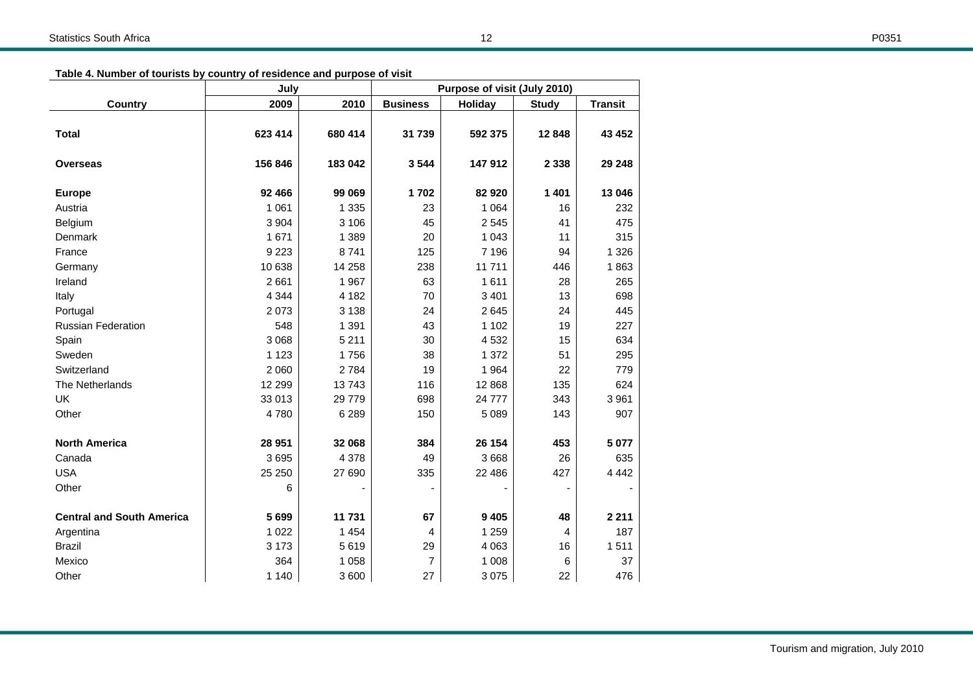| July                             |         |          | Purpose of visit (July 2010) |                |                |                |  |
|----------------------------------|---------|----------|------------------------------|----------------|----------------|----------------|--|
| <b>Country</b>                   | 2009    | 2010     | <b>Business</b>              | <b>Holiday</b> | <b>Study</b>   | <b>Transit</b> |  |
| <b>Total</b>                     | 623 414 | 680 414  | 31 739                       | 592 375        | 12848          | 43 452         |  |
| Overseas                         | 156 846 | 183 042  | 3544                         | 147 912        | 2 3 3 8        | 29 248         |  |
|                                  |         |          |                              |                |                |                |  |
| <b>Europe</b>                    | 92 466  | 99 069   | 1702                         | 82 920         | 1 4 0 1        | 13 046         |  |
| Austria                          | 1 0 6 1 | 1 3 3 5  | 23                           | 1 0 6 4        | 16             | 232            |  |
| Belgium                          | 3 9 0 4 | 3 1 0 6  | 45                           | 2 5 4 5        | 41             | 475            |  |
| Denmark                          | 1671    | 1 3 8 9  | 20                           | 1 0 4 3        | 11             | 315            |  |
| France                           | 9 2 2 3 | 8741     | 125                          | 7 1 9 6        | 94             | 1 3 2 6        |  |
| Germany                          | 10 638  | 14 258   | 238                          | 11711          | 446            | 1863           |  |
| Ireland                          | 2661    | 1967     | 63                           | 1611           | 28             | 265            |  |
| Italy                            | 4 3 4 4 | 4 1 8 2  | 70                           | 3 4 0 1        | 13             | 698            |  |
| Portugal                         | 2073    | 3 1 3 8  | 24                           | 2645           | 24             | 445            |  |
| <b>Russian Federation</b>        | 548     | 1 3 9 1  | 43                           | 1 1 0 2        | 19             | 227            |  |
| Spain                            | 3 0 6 8 | 5 2 1 1  | 30                           | 4 5 3 2        | 15             | 634            |  |
| Sweden                           | 1 1 2 3 | 1756     | 38                           | 1 3 7 2        | 51             | 295            |  |
| Switzerland                      | 2 0 6 0 | 2784     | 19                           | 1964           | 22             | 779            |  |
| The Netherlands                  | 12 299  | 13743    | 116                          | 12 868         | 135            | 624            |  |
| UK                               | 33 013  | 29 7 7 9 | 698                          | 24 777         | 343            | 3 9 6 1        |  |
| Other                            | 4780    | 6 2 8 9  | 150                          | 5 0 8 9        | 143            | 907            |  |
| <b>North America</b>             | 28 951  | 32 068   | 384                          | 26 154         | 453            | 5 0 7 7        |  |
| Canada                           | 3695    | 4 3 7 8  | 49                           | 3 6 6 8        | 26             | 635            |  |
| <b>USA</b>                       | 25 250  | 27 690   | 335                          | 22 486         | 427            | 4 4 4 2        |  |
| Other                            | 6       |          |                              |                |                |                |  |
| <b>Central and South America</b> | 5699    | 11 731   | 67                           | 9 4 0 5        | 48             | 2 2 1 1        |  |
| Argentina                        | 1 0 2 2 | 1 4 5 4  | $\overline{4}$               | 1 2 5 9        | $\overline{4}$ | 187            |  |
| <b>Brazil</b>                    | 3 173   | 5619     | 29                           | 4 0 6 3        | 16             | 1511           |  |
| Mexico                           | 364     | 1 0 5 8  | $\overline{7}$               | 1 0 0 8        | 6              | 37             |  |
| Other                            | 1 140   | 3 600    | 27                           | 3075           | 22             | 476            |  |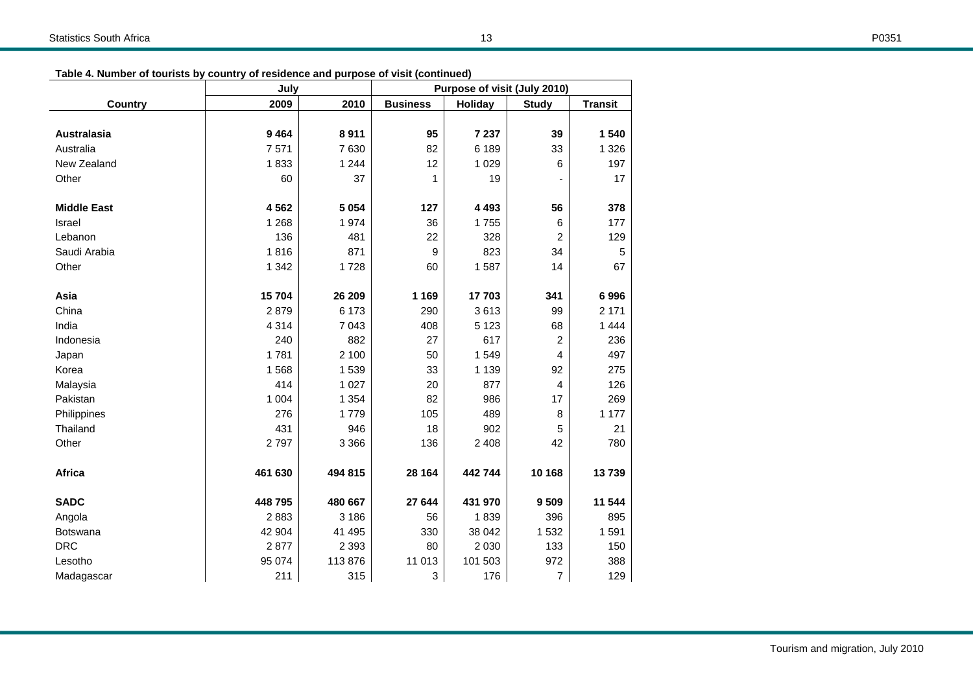|--|

| Table 4. Number of tourists by country of residence and purpose of visit (continued) |  |  |
|--------------------------------------------------------------------------------------|--|--|
|                                                                                      |  |  |

|                    | July    |         | Purpose of visit (July 2010) |                |                |                |  |
|--------------------|---------|---------|------------------------------|----------------|----------------|----------------|--|
| <b>Country</b>     | 2009    | 2010    | <b>Business</b>              | <b>Holiday</b> | <b>Study</b>   | <b>Transit</b> |  |
|                    |         |         |                              |                |                |                |  |
| Australasia        | 9464    | 8911    | 95                           | 7 237          | 39             | 1 540          |  |
| Australia          | 7571    | 7630    | 82                           | 6 189          | 33             | 1 3 2 6        |  |
| New Zealand        | 1833    | 1 2 4 4 | 12                           | 1 0 2 9        | 6              | 197            |  |
| Other              | 60      | 37      | 1                            | 19             |                | 17             |  |
| <b>Middle East</b> | 4562    | 5 0 5 4 | 127                          | 4 4 9 3        | 56             | 378            |  |
| Israel             | 1 2 6 8 | 1974    | 36                           | 1755           | 6              | 177            |  |
| Lebanon            | 136     | 481     | 22                           | 328            | $\overline{c}$ | 129            |  |
| Saudi Arabia       | 1816    | 871     | 9                            | 823            | 34             | 5              |  |
| Other              | 1 3 4 2 | 1728    | 60                           | 1587           | 14             | 67             |  |
| Asia               | 15704   | 26 209  | 1 1 6 9                      | 17703          | 341            | 6996           |  |
| China              | 2879    | 6 173   | 290                          | 3613           | 99             | 2 1 7 1        |  |
| India              | 4 3 1 4 | 7 0 4 3 | 408                          | 5 1 2 3        | 68             | 1 4 4 4        |  |
| Indonesia          | 240     | 882     | 27                           | 617            | $\overline{2}$ | 236            |  |
| Japan              | 1781    | 2 100   | 50                           | 1549           | 4              | 497            |  |
| Korea              | 1568    | 1539    | 33                           | 1 1 3 9        | 92             | 275            |  |
| Malaysia           | 414     | 1 0 2 7 | 20                           | 877            | 4              | 126            |  |
| Pakistan           | 1 0 0 4 | 1 3 5 4 | 82                           | 986            | 17             | 269            |  |
| Philippines        | 276     | 1779    | 105                          | 489            | 8              | 1 177          |  |
| Thailand           | 431     | 946     | 18                           | 902            | 5              | 21             |  |
| Other              | 2797    | 3 3 6 6 | 136                          | 2 4 0 8        | 42             | 780            |  |
| Africa             | 461 630 | 494 815 | 28 164                       | 442 744        | 10 168         | 13739          |  |
| <b>SADC</b>        | 448 795 | 480 667 | 27 644                       | 431 970        | 9509           | 11 544         |  |
| Angola             | 2883    | 3 186   | 56                           | 1839           | 396            | 895            |  |
| Botswana           | 42 904  | 41 495  | 330                          | 38 042         | 1 532          | 1591           |  |
| <b>DRC</b>         | 2877    | 2 3 9 3 | 80                           | 2 0 3 0        | 133            | 150            |  |
| Lesotho            | 95 074  | 113876  | 11 013                       | 101 503        | 972            | 388            |  |
| Madagascar         | 211     | 315     | 3                            | 176            | 7              | 129            |  |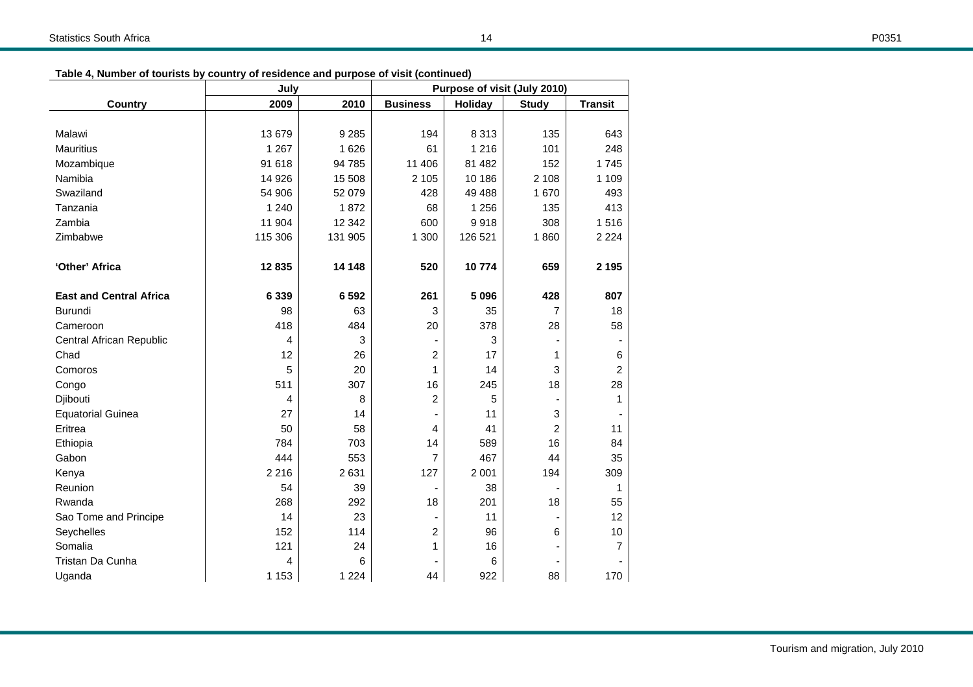|  | Table 4, Number of tourists by country of residence and purpose of visit (continued) |  |  |
|--|--------------------------------------------------------------------------------------|--|--|
|--|--------------------------------------------------------------------------------------|--|--|

|                                | July    | Purpose of visit (July 2010) |                 |                |                |                |
|--------------------------------|---------|------------------------------|-----------------|----------------|----------------|----------------|
| <b>Country</b>                 | 2009    | 2010                         | <b>Business</b> | <b>Holiday</b> | <b>Study</b>   | <b>Transit</b> |
|                                |         |                              |                 |                |                |                |
| Malawi                         | 13 679  | 9 2 8 5                      | 194             | 8 3 1 3        | 135            | 643            |
| <b>Mauritius</b>               | 1 2 6 7 | 1626                         | 61              | 1 2 1 6        | 101            | 248            |
| Mozambique                     | 91 618  | 94 785                       | 11 40 6         | 81 482         | 152            | 1745           |
| Namibia                        | 14 9 26 | 15 508                       | 2 1 0 5         | 10 186         | 2 1 0 8        | 1 1 0 9        |
| Swaziland                      | 54 906  | 52 079                       | 428             | 49 4 88        | 1670           | 493            |
| Tanzania                       | 1 2 4 0 | 1872                         | 68              | 1 2 5 6        | 135            | 413            |
| Zambia                         | 11 904  | 12 342                       | 600             | 9918           | 308            | 1516           |
| Zimbabwe                       | 115 306 | 131 905                      | 1 300           | 126 521        | 1860           | 2 2 2 4        |
|                                |         |                              |                 |                |                |                |
| 'Other' Africa                 | 12835   | 14 148                       | 520             | 10774          | 659            | 2 1 9 5        |
| <b>East and Central Africa</b> | 6 3 3 9 | 6 5 9 2                      | 261             | 5 0 9 6        | 428            | 807            |
| <b>Burundi</b>                 | 98      | 63                           | 3               | 35             | $\overline{7}$ | 18             |
| Cameroon                       | 418     | 484                          | 20              | 378            | 28             | 58             |
| Central African Republic       | 4       | 3                            |                 | 3              |                |                |
| Chad                           | 12      | 26                           | $\overline{2}$  | 17             | 1              | 6              |
| Comoros                        | 5       | 20                           | 1               | 14             | 3              | $\overline{2}$ |
| Congo                          | 511     | 307                          | 16              | 245            | 18             | 28             |
| Djibouti                       | 4       | 8                            | 2               | 5              |                | 1              |
| <b>Equatorial Guinea</b>       | 27      | 14                           |                 | 11             | 3              |                |
| Eritrea                        | 50      | 58                           | 4               | 41             | 2              | 11             |
| Ethiopia                       | 784     | 703                          | 14              | 589            | 16             | 84             |
| Gabon                          | 444     | 553                          | $\overline{7}$  | 467            | 44             | 35             |
| Kenya                          | 2 2 1 6 | 2631                         | 127             | 2 0 0 1        | 194            | 309            |
| Reunion                        | 54      | 39                           |                 | 38             | $\blacksquare$ | 1              |
| Rwanda                         | 268     | 292                          | 18              | 201            | 18             | 55             |
| Sao Tome and Principe          | 14      | 23                           |                 | 11             |                | 12             |
| Seychelles                     | 152     | 114                          | $\overline{2}$  | 96             | 6              | 10             |
| Somalia                        | 121     | 24                           | 1               | 16             |                | 7              |
| Tristan Da Cunha               | 4       | 6                            |                 | 6              |                |                |
| Uganda                         | 1 1 5 3 | 1 2 2 4                      | 44              | 922            | 88             | 170            |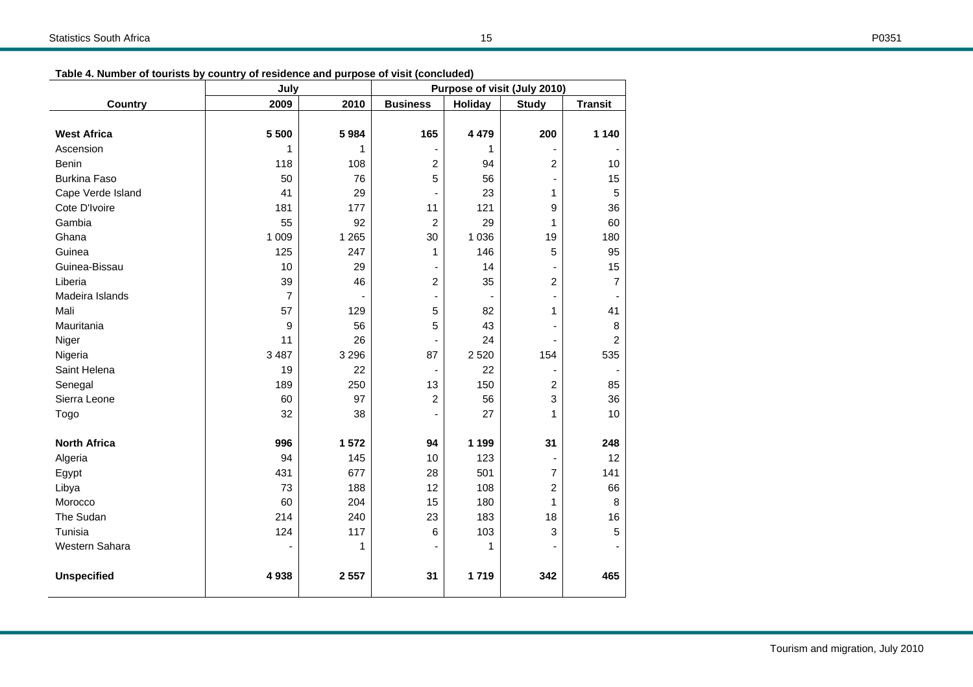|--|--|

|                     | July           |         | Purpose of visit (July 2010) |                |                          |                |
|---------------------|----------------|---------|------------------------------|----------------|--------------------------|----------------|
| <b>Country</b>      | 2009           | 2010    | <b>Business</b>              | <b>Holiday</b> | <b>Study</b>             | <b>Transit</b> |
|                     |                |         |                              |                |                          |                |
| <b>West Africa</b>  | 5 500          | 5984    | 165                          | 4 4 7 9        | 200                      | 1 1 4 0        |
| Ascension           | 1              | 1       | $\blacksquare$               | 1              |                          |                |
| Benin               | 118            | 108     | 2                            | 94             | 2                        | 10             |
| <b>Burkina Faso</b> | 50             | 76      | 5                            | 56             | ٠                        | 15             |
| Cape Verde Island   | 41             | 29      | $\overline{\phantom{a}}$     | 23             | 1                        | 5              |
| Cote D'Ivoire       | 181            | 177     | 11                           | 121            | 9                        | 36             |
| Gambia              | 55             | 92      | $\overline{c}$               | 29             | 1                        | 60             |
| Ghana               | 1 0 0 9        | 1 2 6 5 | 30                           | 1 0 3 6        | 19                       | 180            |
| Guinea              | 125            | 247     | 1                            | 146            | 5                        | 95             |
| Guinea-Bissau       | 10             | 29      | $\overline{\phantom{a}}$     | 14             |                          | 15             |
| Liberia             | 39             | 46      | 2                            | 35             | $\overline{2}$           | $\overline{7}$ |
| Madeira Islands     | $\overline{7}$ |         | $\overline{\phantom{a}}$     | $\blacksquare$ |                          |                |
| Mali                | 57             | 129     | 5                            | 82             | 1                        | 41             |
| Mauritania          | 9              | 56      | 5                            | 43             |                          | $\bf8$         |
| Niger               | 11             | 26      |                              | 24             |                          | $\overline{c}$ |
| Nigeria             | 3 4 8 7        | 3 2 9 6 | 87                           | 2 5 20         | 154                      | 535            |
| Saint Helena        | 19             | 22      | $\overline{\phantom{a}}$     | 22             | $\overline{\phantom{a}}$ |                |
| Senegal             | 189            | 250     | 13                           | 150            | $\overline{c}$           | 85             |
| Sierra Leone        | 60             | 97      | 2                            | 56             | 3                        | 36             |
| Togo                | 32             | 38      | $\overline{\phantom{a}}$     | 27             | 1                        | 10             |
|                     |                |         |                              |                |                          |                |
| <b>North Africa</b> | 996            | 1572    | 94                           | 1 1 9 9        | 31                       | 248            |
| Algeria             | 94             | 145     | 10                           | 123            |                          | 12             |
| Egypt               | 431            | 677     | 28                           | 501            | $\overline{7}$           | 141            |
| Libya               | 73             | 188     | 12                           | 108            | $\overline{2}$           | 66             |
| Morocco             | 60             | 204     | 15                           | 180            | $\mathbf{1}$             | 8              |
| The Sudan           | 214            | 240     | 23                           | 183            | 18                       | 16             |
| Tunisia             | 124            | 117     | 6                            | 103            | 3                        | 5              |
| Western Sahara      | ٠              | 1       | $\overline{\phantom{a}}$     | 1              |                          |                |
| <b>Unspecified</b>  | 4938           | 2 5 5 7 | 31                           | 1719           | 342                      | 465            |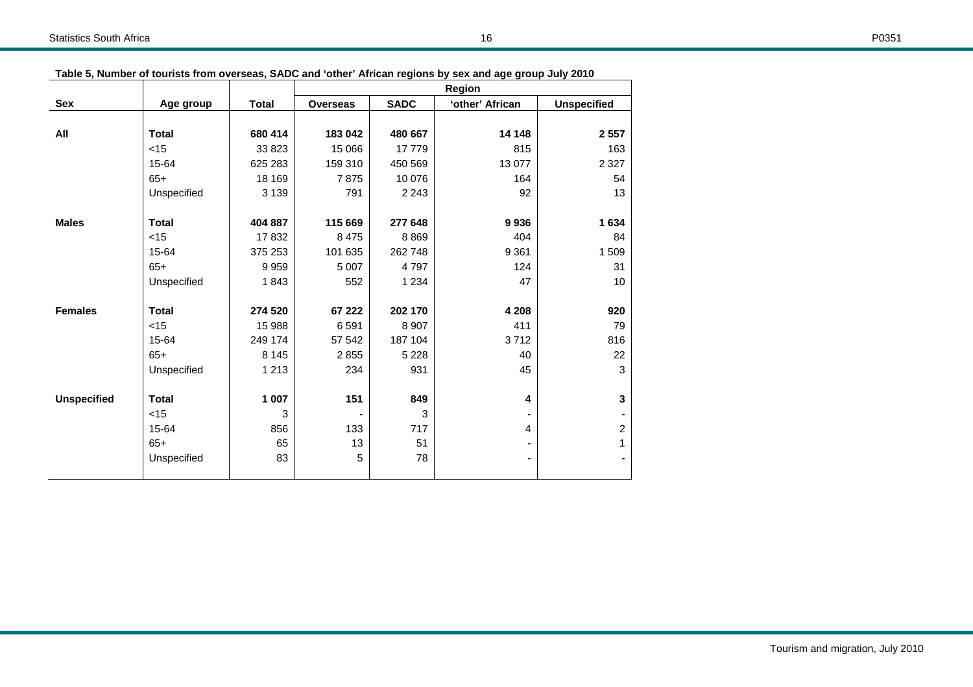|--|

|                    |              |              | <b>Region</b>   |             |                 |                    |
|--------------------|--------------|--------------|-----------------|-------------|-----------------|--------------------|
| Sex                | Age group    | <b>Total</b> | <b>Overseas</b> | <b>SADC</b> | 'other' African | <b>Unspecified</b> |
|                    |              |              |                 |             |                 |                    |
| All                | <b>Total</b> | 680 414      | 183 042         | 480 667     | 14 148          | 2 5 5 7            |
|                    | $<$ 15       | 33 823       | 15 066          | 17779       | 815             | 163                |
|                    | 15-64        | 625 283      | 159 310         | 450 569     | 13 077          | 2 3 2 7            |
|                    | $65+$        | 18 169       | 7875            | 10 076      | 164             | 54                 |
|                    | Unspecified  | 3 1 3 9      | 791             | 2 2 4 3     | 92              | 13                 |
| <b>Males</b>       | <b>Total</b> | 404 887      | 115 669         | 277 648     | 9936            | 1 634              |
|                    | $<$ 15       | 17832        | 8 4 7 5         | 8869        | 404             | 84                 |
|                    | 15-64        | 375 253      | 101 635         | 262 748     | 9 3 6 1         | 1509               |
|                    | $65+$        | 9959         | 5 0 0 7         | 4797        | 124             | 31                 |
|                    | Unspecified  | 1843         | 552             | 1 2 3 4     | 47              | 10                 |
| <b>Females</b>     | <b>Total</b> | 274 520      | 67 222          | 202 170     | 4 2 0 8         | 920                |
|                    | $<$ 15       | 15 988       | 6 5 9 1         | 8 9 0 7     | 411             | 79                 |
|                    | 15-64        | 249 174      | 57 542          | 187 104     | 3712            | 816                |
|                    | $65+$        | 8 1 4 5      | 2855            | 5 2 2 8     | 40              | 22                 |
|                    | Unspecified  | 1 2 1 3      | 234             | 931         | 45              | 3                  |
| <b>Unspecified</b> | <b>Total</b> | 1 007        | 151             | 849         | 4               | 3                  |
|                    | $<$ 15       | 3            |                 | 3           |                 |                    |
|                    | 15-64        | 856          | 133             | 717         | 4               | 2                  |
|                    | $65+$        | 65           | 13              | 51          |                 | 1                  |
|                    | Unspecified  | 83           | 5               | 78          |                 |                    |

**Table 5, Number of tourists from overseas, SADC and 'other' African regions by sex and age group July 2010**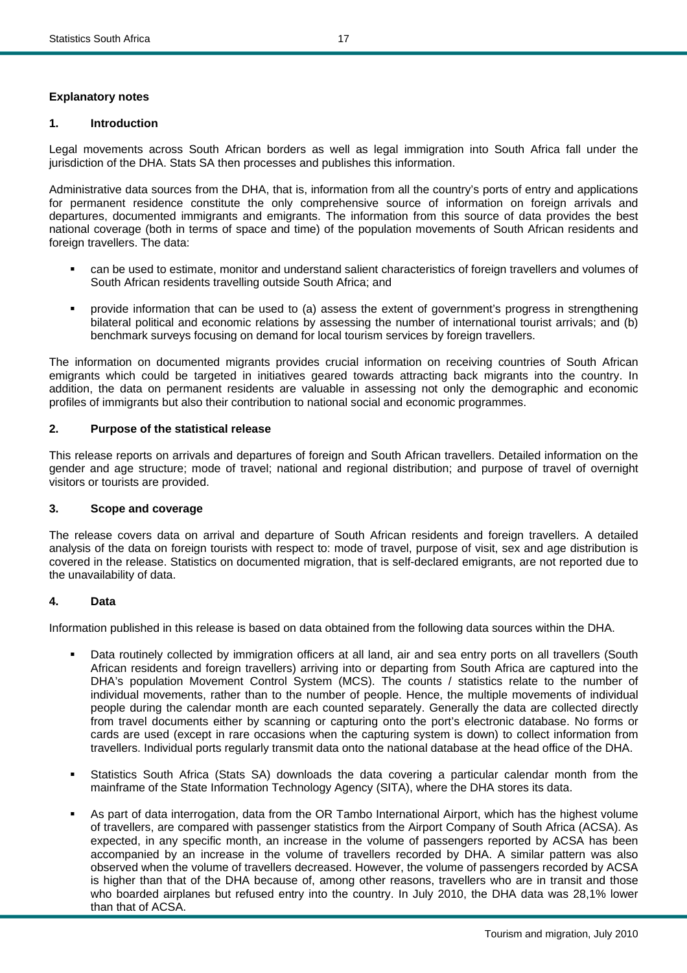## **Explanatory notes**

#### **1. Introduction**

Legal movements across South African borders as well as legal immigration into South Africa fall under the jurisdiction of the DHA. Stats SA then processes and publishes this information.

Administrative data sources from the DHA, that is, information from all the country's ports of entry and applications for permanent residence constitute the only comprehensive source of information on foreign arrivals and departures, documented immigrants and emigrants. The information from this source of data provides the best national coverage (both in terms of space and time) of the population movements of South African residents and foreign travellers. The data:

- can be used to estimate, monitor and understand salient characteristics of foreign travellers and volumes of South African residents travelling outside South Africa; and
- provide information that can be used to (a) assess the extent of government's progress in strengthening bilateral political and economic relations by assessing the number of international tourist arrivals; and (b) benchmark surveys focusing on demand for local tourism services by foreign travellers.

The information on documented migrants provides crucial information on receiving countries of South African emigrants which could be targeted in initiatives geared towards attracting back migrants into the country. In addition, the data on permanent residents are valuable in assessing not only the demographic and economic profiles of immigrants but also their contribution to national social and economic programmes.

#### **2. Purpose of the statistical release**

This release reports on arrivals and departures of foreign and South African travellers. Detailed information on the gender and age structure; mode of travel; national and regional distribution; and purpose of travel of overnight visitors or tourists are provided.

#### **3. Scope and coverage**

The release covers data on arrival and departure of South African residents and foreign travellers. A detailed analysis of the data on foreign tourists with respect to: mode of travel, purpose of visit, sex and age distribution is covered in the release. Statistics on documented migration, that is self-declared emigrants, are not reported due to the unavailability of data.

## **4. Data**

Information published in this release is based on data obtained from the following data sources within the DHA.

- Data routinely collected by immigration officers at all land, air and sea entry ports on all travellers (South African residents and foreign travellers) arriving into or departing from South Africa are captured into the DHA's population Movement Control System (MCS). The counts / statistics relate to the number of individual movements, rather than to the number of people. Hence, the multiple movements of individual people during the calendar month are each counted separately. Generally the data are collected directly from travel documents either by scanning or capturing onto the port's electronic database. No forms or cards are used (except in rare occasions when the capturing system is down) to collect information from travellers. Individual ports regularly transmit data onto the national database at the head office of the DHA.
- Statistics South Africa (Stats SA) downloads the data covering a particular calendar month from the mainframe of the State Information Technology Agency (SITA), where the DHA stores its data.
- As part of data interrogation, data from the OR Tambo International Airport, which has the highest volume of travellers, are compared with passenger statistics from the Airport Company of South Africa (ACSA). As expected, in any specific month, an increase in the volume of passengers reported by ACSA has been accompanied by an increase in the volume of travellers recorded by DHA. A similar pattern was also observed when the volume of travellers decreased. However, the volume of passengers recorded by ACSA is higher than that of the DHA because of, among other reasons, travellers who are in transit and those who boarded airplanes but refused entry into the country. In July 2010, the DHA data was 28,1% lower than that of ACSA.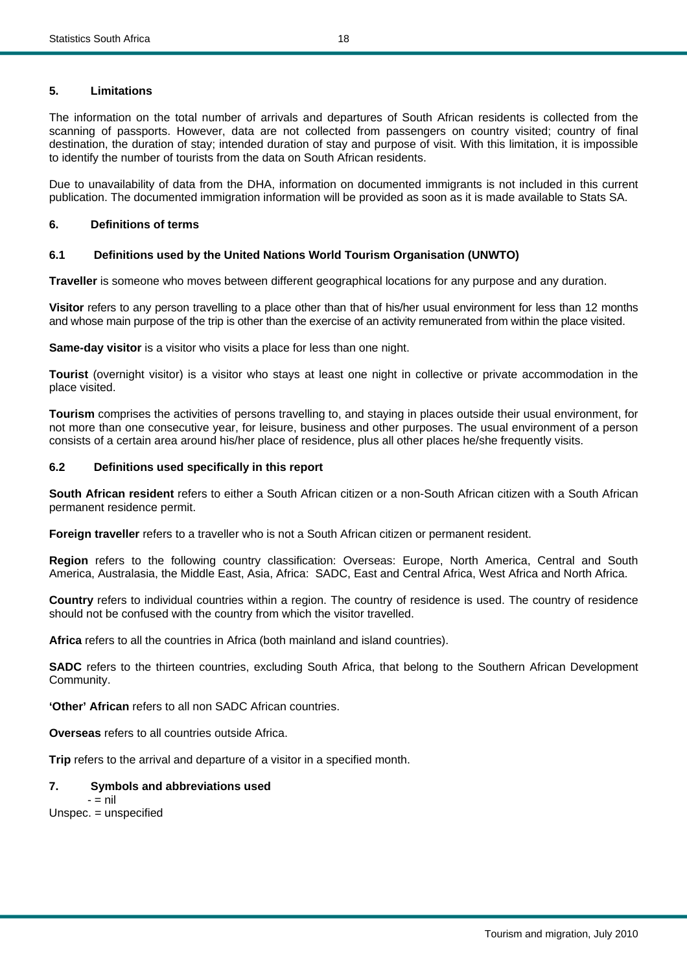The information on the total number of arrivals and departures of South African residents is collected from the scanning of passports. However, data are not collected from passengers on country visited; country of final destination, the duration of stay; intended duration of stay and purpose of visit. With this limitation, it is impossible to identify the number of tourists from the data on South African residents.

Due to unavailability of data from the DHA, information on documented immigrants is not included in this current publication. The documented immigration information will be provided as soon as it is made available to Stats SA.

#### **6. Definitions of terms**

#### **6.1 Definitions used by the United Nations World Tourism Organisation (UNWTO)**

**Traveller** is someone who moves between different geographical locations for any purpose and any duration.

**Visitor** refers to any person travelling to a place other than that of his/her usual environment for less than 12 months and whose main purpose of the trip is other than the exercise of an activity remunerated from within the place visited.

**Same-day visitor** is a visitor who visits a place for less than one night.

**Tourist** (overnight visitor) is a visitor who stays at least one night in collective or private accommodation in the place visited.

**Tourism** comprises the activities of persons travelling to, and staying in places outside their usual environment, for not more than one consecutive year, for leisure, business and other purposes. The usual environment of a person consists of a certain area around his/her place of residence, plus all other places he/she frequently visits.

#### **6.2 Definitions used specifically in this report**

**South African resident** refers to either a South African citizen or a non-South African citizen with a South African permanent residence permit.

**Foreign traveller** refers to a traveller who is not a South African citizen or permanent resident.

**Region** refers to the following country classification: Overseas: Europe, North America, Central and South America, Australasia, the Middle East, Asia, Africa: SADC, East and Central Africa, West Africa and North Africa.

**Country** refers to individual countries within a region. The country of residence is used. The country of residence should not be confused with the country from which the visitor travelled.

**Africa** refers to all the countries in Africa (both mainland and island countries).

**SADC** refers to the thirteen countries, excluding South Africa, that belong to the Southern African Development Community.

**'Other' African** refers to all non SADC African countries.

**Overseas** refers to all countries outside Africa.

**Trip** refers to the arrival and departure of a visitor in a specified month.

#### **7. Symbols and abbreviations used**

 $-$  = nil

Unspec. = unspecified